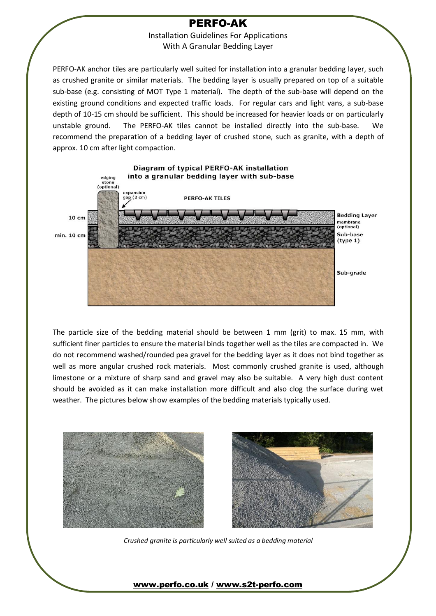### **PERFO-AK**

Installation Guidelines For Applications With A Granular Bedding Layer

PERFO-AK anchor tiles are particularly well suited for installation into a granular bedding layer, such as crushed granite or similar materials. The bedding layer is usually prepared on top of a suitable sub-base (e.g. consisting of MOT Type 1 material). The depth of the sub-base will depend on the existing ground conditions and expected traffic loads. For regular cars and light vans, a sub-base depth of 10-15 cm should be sufficient. This should be increased for heavier loads or on particularly unstable ground. The PERFO-AK tiles cannot be installed directly into the sub-base. recommend the preparation of a bedding layer of crushed stone, such as granite, with a depth of approx. 10 cm after light compaction.



The particle size of the bedding material should be between 1 mm (grit) to max. 15 mm, with sufficient finer particles to ensure the material binds together well as the tiles are compacted in. We do not recommend washed/rounded pea gravel for the bedding layer as it does not bind together as well as more angular crushed rock materials. Most commonly crushed granite is used, although limestone or a mixture of sharp sand and gravel may also be suitable. A very high dust content should be avoided as it can make installation more difficult and also clog the surface during wet weather. The pictures below show examples of the bedding materials typically used.



*Crushed granite is particularly well suited as a bedding material*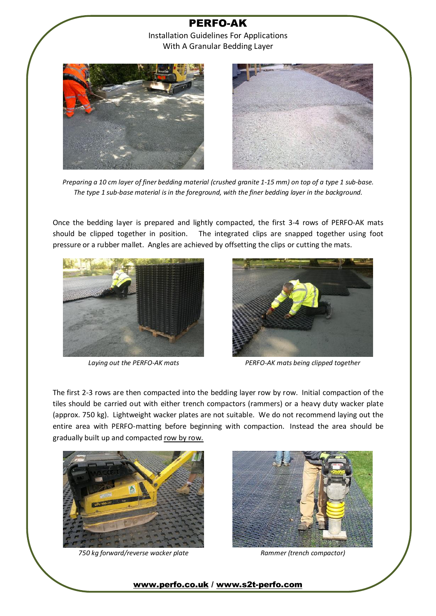

Preparing a 10 cm layer of finer bedding material (crushed granite 1-15 mm) on top of a type 1 sub-base. *The type 1 sub-base material isin the foreground, with the finer bedding layer in the background.* 

Once the bedding layer is prepared and lightly compacted, the first 3-4 rows of PERFO-AK mats should be clipped together in position. The integrated clips are snapped together using foot pressure or a rubber mallet. Angles are achieved by offsetting the clips or cutting the mats.





*Laying out the PERFO-AK mats PERFO-AK mats being clipped together*

The first 2-3 rows are then compacted into the bedding layer row by row. Initial compaction of the tiles should be carried out with either trench compactors (rammers) or a heavy duty wacker plate (approx. 750 kg). Lightweight wacker plates are not suitable. We do not recommend laying out the entire area with PERFO-matting before beginning with compaction. Instead the area should be gradually built up and compacted row by row.



*750 kg forward/reverse wacker plate Rammer (trench compactor)*

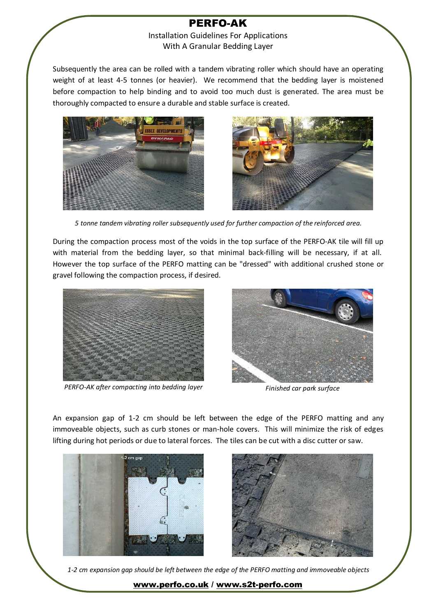## **PERFO-AK**

#### Installation Guidelines For Applications With A Granular Bedding Layer

Subsequently the area can be rolled with a tandem vibrating roller which should have an operating weight of at least 4-5 tonnes (or heavier). We recommend that the bedding layer is moistened before compaction to help binding and to avoid too much dust is generated. The area must be thoroughly compacted to ensure a durable and stable surface is created.





*5 tonne tandem vibrating roller subsequently used for further compaction of the reinforced area.* 

During the compaction process most of the voids in the top surface of the PERFO-AK tile will fill up with material from the bedding layer, so that minimal back-filling will be necessary, if at all. However the top surface of the PERFO matting can be "dressed" with additional crushed stone or gravel following the compaction process, if desired.



*PERFO-AK after compacting into bedding layer Finished car park surface*



An expansion gap of 1-2 cm should be left between the edge of the PERFO matting and any immoveable objects, such as curb stones or man-hole covers. This will minimize the risk of edges lifting during hot periods or due to lateral forces. The tiles can be cut with a disc cutter or saw.





*1-2 cm expansion gap should be left between the edge of the PERFO matting and immoveable objects*